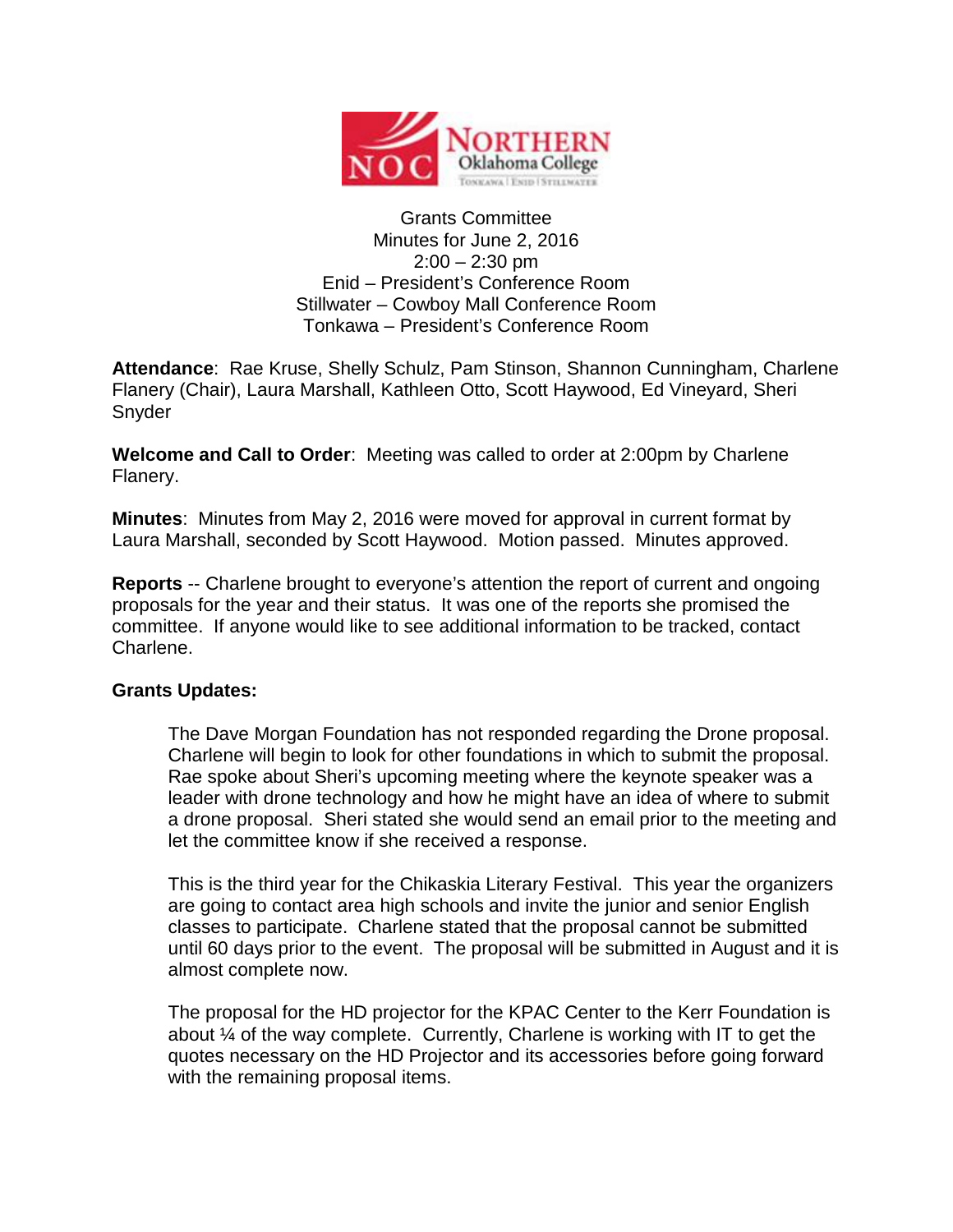

## Grants Committee Minutes for June 2, 2016  $2:00 - 2:30$  pm Enid – President's Conference Room Stillwater – Cowboy Mall Conference Room Tonkawa – President's Conference Room

**Attendance**: Rae Kruse, Shelly Schulz, Pam Stinson, Shannon Cunningham, Charlene Flanery (Chair), Laura Marshall, Kathleen Otto, Scott Haywood, Ed Vineyard, Sheri Snyder

**Welcome and Call to Order**: Meeting was called to order at 2:00pm by Charlene Flanery.

**Minutes**: Minutes from May 2, 2016 were moved for approval in current format by Laura Marshall, seconded by Scott Haywood. Motion passed. Minutes approved.

**Reports** -- Charlene brought to everyone's attention the report of current and ongoing proposals for the year and their status. It was one of the reports she promised the committee. If anyone would like to see additional information to be tracked, contact Charlene.

## **Grants Updates:**

The Dave Morgan Foundation has not responded regarding the Drone proposal. Charlene will begin to look for other foundations in which to submit the proposal. Rae spoke about Sheri's upcoming meeting where the keynote speaker was a leader with drone technology and how he might have an idea of where to submit a drone proposal. Sheri stated she would send an email prior to the meeting and let the committee know if she received a response.

This is the third year for the Chikaskia Literary Festival. This year the organizers are going to contact area high schools and invite the junior and senior English classes to participate. Charlene stated that the proposal cannot be submitted until 60 days prior to the event. The proposal will be submitted in August and it is almost complete now.

The proposal for the HD projector for the KPAC Center to the Kerr Foundation is about ¼ of the way complete. Currently, Charlene is working with IT to get the quotes necessary on the HD Projector and its accessories before going forward with the remaining proposal items.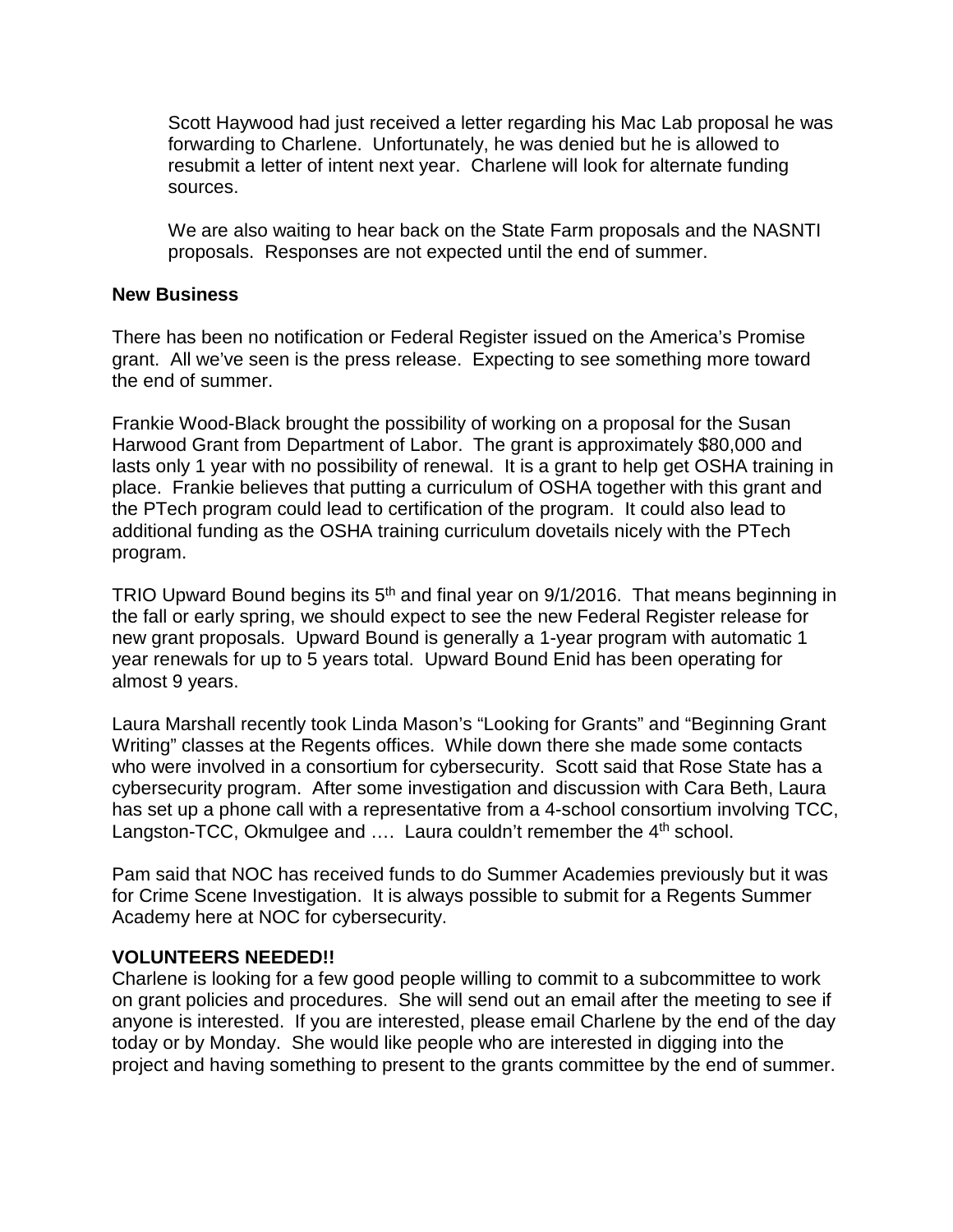Scott Haywood had just received a letter regarding his Mac Lab proposal he was forwarding to Charlene. Unfortunately, he was denied but he is allowed to resubmit a letter of intent next year. Charlene will look for alternate funding sources.

We are also waiting to hear back on the State Farm proposals and the NASNTI proposals. Responses are not expected until the end of summer.

## **New Business**

There has been no notification or Federal Register issued on the America's Promise grant. All we've seen is the press release. Expecting to see something more toward the end of summer.

Frankie Wood-Black brought the possibility of working on a proposal for the Susan Harwood Grant from Department of Labor. The grant is approximately \$80,000 and lasts only 1 year with no possibility of renewal. It is a grant to help get OSHA training in place. Frankie believes that putting a curriculum of OSHA together with this grant and the PTech program could lead to certification of the program. It could also lead to additional funding as the OSHA training curriculum dovetails nicely with the PTech program.

TRIO Upward Bound begins its 5<sup>th</sup> and final year on 9/1/2016. That means beginning in the fall or early spring, we should expect to see the new Federal Register release for new grant proposals. Upward Bound is generally a 1-year program with automatic 1 year renewals for up to 5 years total. Upward Bound Enid has been operating for almost 9 years.

Laura Marshall recently took Linda Mason's "Looking for Grants" and "Beginning Grant Writing" classes at the Regents offices. While down there she made some contacts who were involved in a consortium for cybersecurity. Scott said that Rose State has a cybersecurity program. After some investigation and discussion with Cara Beth, Laura has set up a phone call with a representative from a 4-school consortium involving TCC, Langston-TCC, Okmulgee and .... Laura couldn't remember the 4<sup>th</sup> school.

Pam said that NOC has received funds to do Summer Academies previously but it was for Crime Scene Investigation. It is always possible to submit for a Regents Summer Academy here at NOC for cybersecurity.

## **VOLUNTEERS NEEDED!!**

Charlene is looking for a few good people willing to commit to a subcommittee to work on grant policies and procedures. She will send out an email after the meeting to see if anyone is interested. If you are interested, please email Charlene by the end of the day today or by Monday. She would like people who are interested in digging into the project and having something to present to the grants committee by the end of summer.